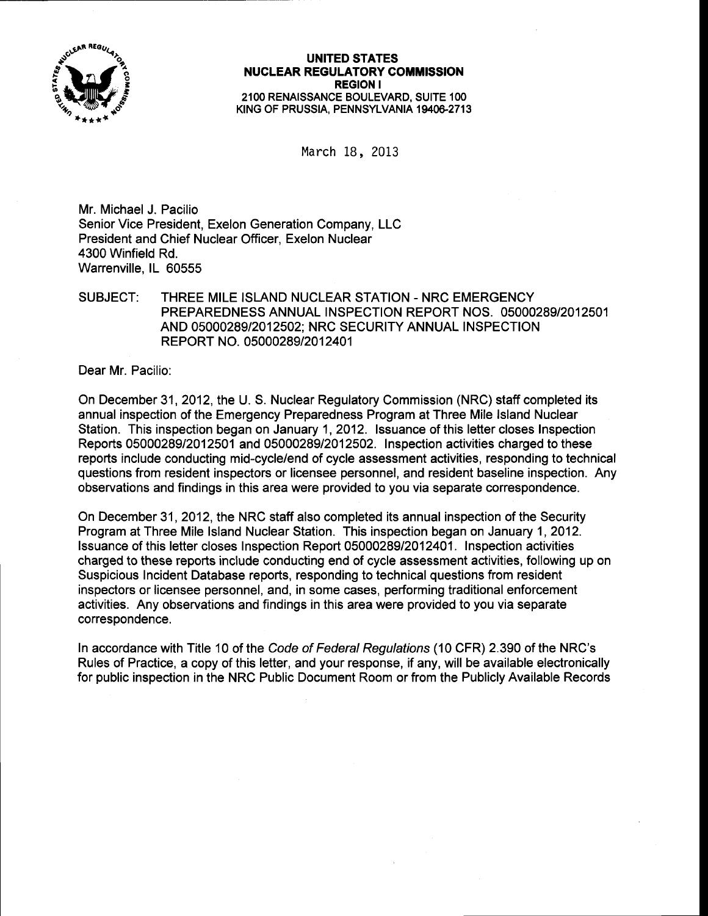

## UNITED STATES **NUCLEAR REGULATORY COMMISSION** REGION I 21OO RENAISSANCE BOULEVARD, SUITE 1OO KING OF PRUSSIA, PENNSYLVANIA 19406-2713

March 18, 2013

Mr. Michael J. Pacilio Senior Vice President, Exelon Generation Company, LLC President and Chief Nuclear Officer, Exelon Nuclear 4300 Winfield Rd. Warrenville. lL 60555

## SUBJECT: THREE MILE ISLAND NUCLEAR STATION - NRC EMERGENCY PREPAREDNESS ANNUAL INSPECTION REPORT NOS. O5OOO289I2O125O1 AND 0500028912012502; NRC SECURITY ANNUAL INSPECTION REPORT NO. 05000289/2012401

Dear Mr. Pacilio:

On December 31 ,2012, the U. S. Nuclear Regulatory Commission (NRC) staff completed its annual inspection of the Emergency Preparedness Program at Three Mile lsland Nuclear Station. This inspection began on January 1,2012. lssuance of this letter closes Inspection Reports 05000289/2012501 and 05000289/2012502. Inspection activities charged to these reports include conducting mid-cycle/end of cycle assessment activities, responding to technical questions from resident inspectors or licensee personnel, and resident baseline inspection. Any observations and findings in this area were provided to you via separate correspondence.

On December 31 ,2012, the NRC staff also completed its annual inspection of the Security Program at Three Mile Island Nuclear Station. This inspection began on January 1, 2012. lssuance of this letter closes Inspection Report 05000289/2012401. lnspection activities charged to these reports include conducting end of cycle assessment activities, following up on Suspicious Incident Database reports, responding to technical questions from resident inspectors or licensee personnel, and, in some cases, performing traditional enforcement activities. Any observations and findings in this area were provided to you via separate correspondence.

ln accordance with Title 10 of the Code of Federal Regulafions (10 CFR) 2.390 of the NRC's Rules of Practice, a copy of this letter, and your response, if any, will be available electronically for public inspection in the NRC Public Document Room or from the Publicly Available Records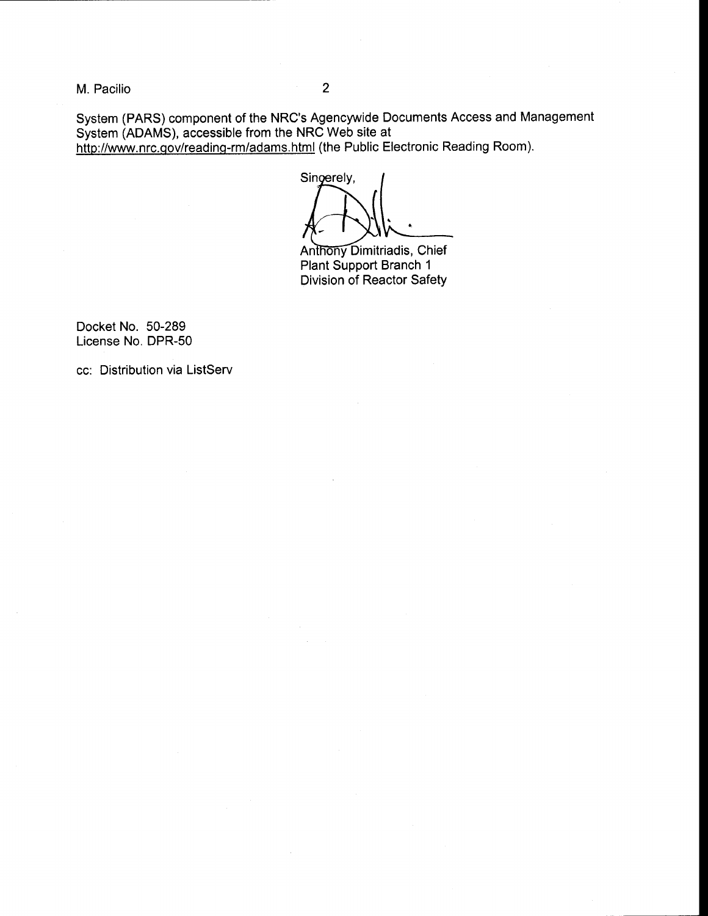M. Pacilio <sup>2</sup>

System (PARS) component of the NRC's Agencywide Documents Access and Management System (ADAMS), accessible from the NRC Web site at

http://www.nrc.gov/reading-rm/adams.html (the Public Electronic Reading Room).

Singerely,

Anthony Dimitriadis, Chief Plant Support Branch <sup>1</sup> Division of Reactor Safety

Docket No. 50-289 License No. DPR-50

cc: Distribution via ListServ